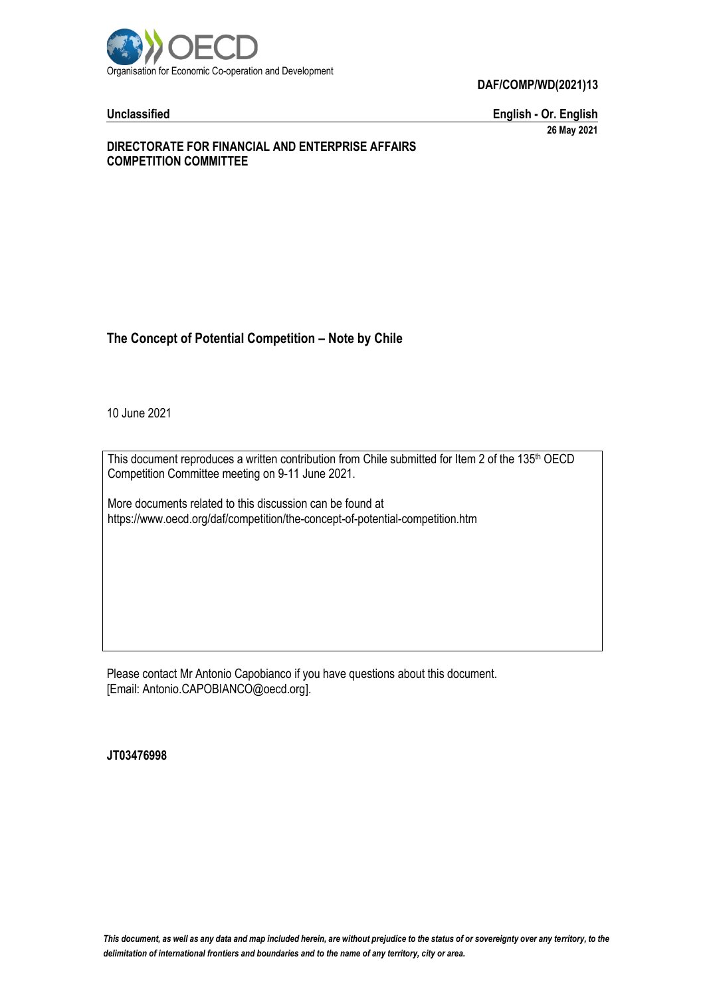

**DAF/COMP/WD(2021)13**

**Unclassified English - Or. English 26 May 2021**

#### **DIRECTORATE FOR FINANCIAL AND ENTERPRISE AFFAIRS COMPETITION COMMITTEE**

# **The Concept of Potential Competition – Note by Chile**

10 June 2021

This document reproduces a written contribution from Chile submitted for Item 2 of the 135<sup>th</sup> OECD Competition Committee meeting on 9-11 June 2021.

More documents related to this discussion can be found at https://www.oecd.org/daf/competition/the-concept-of-potential-competition.htm

Please contact Mr Antonio Capobianco if you have questions about this document. [Email: Antonio.CAPOBIANCO@oecd.org].

**JT03476998**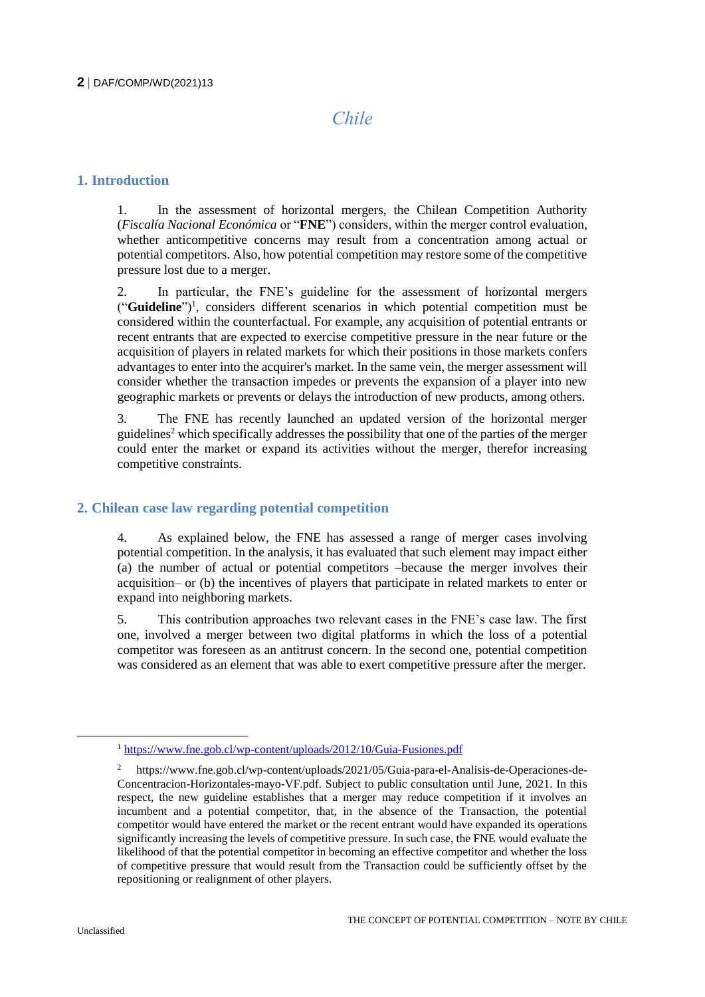# *Chile*

# **1. Introduction**

1. In the assessment of horizontal mergers, the Chilean Competition Authority (*Fiscalía Nacional Económica* or "**FNE**") considers, within the merger control evaluation, whether anticompetitive concerns may result from a concentration among actual or potential competitors. Also, how potential competition may restore some of the competitive pressure lost due to a merger.

2. In particular, the FNE's guideline for the assessment of horizontal mergers ("**Guideline**")<sup>1</sup> , considers different scenarios in which potential competition must be considered within the counterfactual. For example, any acquisition of potential entrants or recent entrants that are expected to exercise competitive pressure in the near future or the acquisition of players in related markets for which their positions in those markets confers advantages to enter into the acquirer's market. In the same vein, the merger assessment will consider whether the transaction impedes or prevents the expansion of a player into new geographic markets or prevents or delays the introduction of new products, among others.

3. The FNE has recently launched an updated version of the horizontal merger guidelines<sup>2</sup> which specifically addresses the possibility that one of the parties of the merger could enter the market or expand its activities without the merger, therefor increasing competitive constraints.

#### **2. Chilean case law regarding potential competition**

4. As explained below, the FNE has assessed a range of merger cases involving potential competition. In the analysis, it has evaluated that such element may impact either (a) the number of actual or potential competitors –because the merger involves their acquisition– or (b) the incentives of players that participate in related markets to enter or expand into neighboring markets.

5. This contribution approaches two relevant cases in the FNE's case law. The first one, involved a merger between two digital platforms in which the loss of a potential competitor was foreseen as an antitrust concern. In the second one, potential competition was considered as an element that was able to exert competitive pressure after the merger.

<sup>1</sup> <https://www.fne.gob.cl/wp-content/uploads/2012/10/Guia-Fusiones.pdf>

<sup>2</sup> https://www.fne.gob.cl/wp-content/uploads/2021/05/Guia-para-el-Analisis-de-Operaciones-de-Concentracion-Horizontales-mayo-VF.pdf. Subject to public consultation until June, 2021. In this respect, the new guideline establishes that a merger may reduce competition if it involves an incumbent and a potential competitor, that, in the absence of the Transaction, the potential competitor would have entered the market or the recent entrant would have expanded its operations significantly increasing the levels of competitive pressure. In such case, the FNE would evaluate the likelihood of that the potential competitor in becoming an effective competitor and whether the loss of competitive pressure that would result from the Transaction could be sufficiently offset by the repositioning or realignment of other players.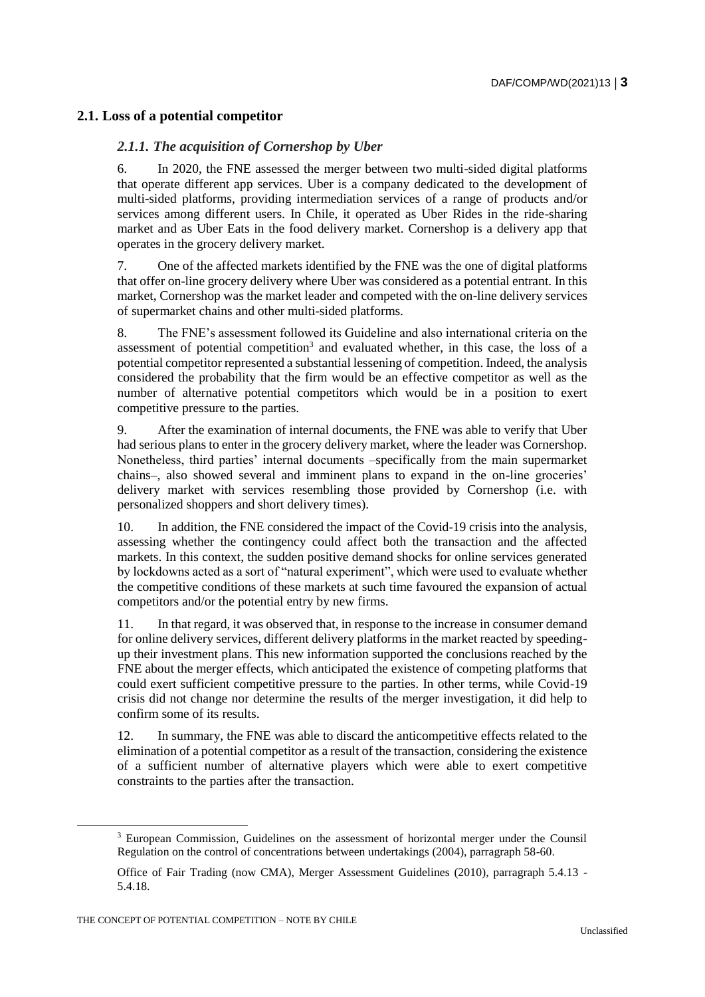# **2.1. Loss of a potential competitor**

#### *2.1.1. The acquisition of Cornershop by Uber*

6. In 2020, the FNE assessed the merger between two multi-sided digital platforms that operate different app services. Uber is a company dedicated to the development of multi-sided platforms, providing intermediation services of a range of products and/or services among different users. In Chile, it operated as Uber Rides in the ride-sharing market and as Uber Eats in the food delivery market. Cornershop is a delivery app that operates in the grocery delivery market.

7. One of the affected markets identified by the FNE was the one of digital platforms that offer on-line grocery delivery where Uber was considered as a potential entrant. In this market, Cornershop was the market leader and competed with the on-line delivery services of supermarket chains and other multi-sided platforms.

8. The FNE's assessment followed its Guideline and also international criteria on the assessment of potential competition<sup>3</sup> and evaluated whether, in this case, the loss of a potential competitor represented a substantial lessening of competition. Indeed, the analysis considered the probability that the firm would be an effective competitor as well as the number of alternative potential competitors which would be in a position to exert competitive pressure to the parties.

9. After the examination of internal documents, the FNE was able to verify that Uber had serious plans to enter in the grocery delivery market, where the leader was Cornershop. Nonetheless, third parties' internal documents –specifically from the main supermarket chains–, also showed several and imminent plans to expand in the on-line groceries' delivery market with services resembling those provided by Cornershop (i.e. with personalized shoppers and short delivery times).

10. In addition, the FNE considered the impact of the Covid-19 crisis into the analysis, assessing whether the contingency could affect both the transaction and the affected markets. In this context, the sudden positive demand shocks for online services generated by lockdowns acted as a sort of "natural experiment", which were used to evaluate whether the competitive conditions of these markets at such time favoured the expansion of actual competitors and/or the potential entry by new firms.

11. In that regard, it was observed that, in response to the increase in consumer demand for online delivery services, different delivery platforms in the market reacted by speedingup their investment plans. This new information supported the conclusions reached by the FNE about the merger effects, which anticipated the existence of competing platforms that could exert sufficient competitive pressure to the parties. In other terms, while Covid-19 crisis did not change nor determine the results of the merger investigation, it did help to confirm some of its results.

12. In summary, the FNE was able to discard the anticompetitive effects related to the elimination of a potential competitor as a result of the transaction, considering the existence of a sufficient number of alternative players which were able to exert competitive constraints to the parties after the transaction.

<sup>3</sup> European Commission, Guidelines on the assessment of horizontal merger under the Counsil Regulation on the control of concentrations between undertakings (2004), parragraph 58-60.

Office of Fair Trading (now CMA), Merger Assessment Guidelines (2010), parragraph 5.4.13 - 5.4.18.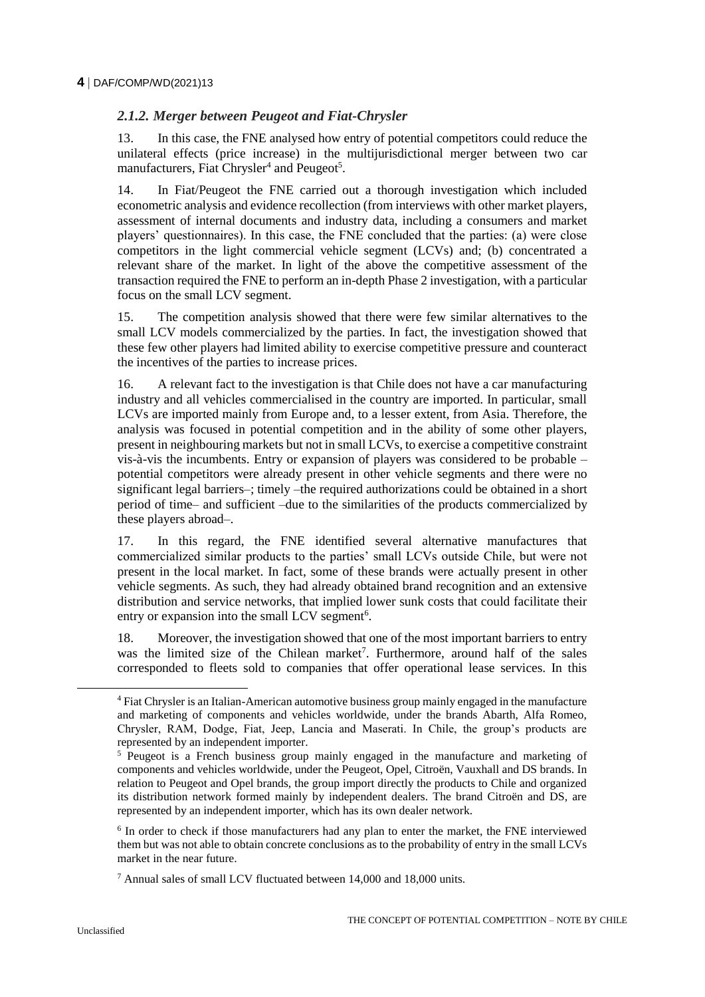# *2.1.2. Merger between Peugeot and Fiat-Chrysler*

13. In this case, the FNE analysed how entry of potential competitors could reduce the unilateral effects (price increase) in the multijurisdictional merger between two car manufacturers, Fiat Chrysler<sup>4</sup> and Peugeot<sup>5</sup>.

14. In Fiat/Peugeot the FNE carried out a thorough investigation which included econometric analysis and evidence recollection (from interviews with other market players, assessment of internal documents and industry data, including a consumers and market players' questionnaires). In this case, the FNE concluded that the parties: (a) were close competitors in the light commercial vehicle segment (LCVs) and; (b) concentrated a relevant share of the market. In light of the above the competitive assessment of the transaction required the FNE to perform an in-depth Phase 2 investigation, with a particular focus on the small LCV segment.

15. The competition analysis showed that there were few similar alternatives to the small LCV models commercialized by the parties. In fact, the investigation showed that these few other players had limited ability to exercise competitive pressure and counteract the incentives of the parties to increase prices.

16. A relevant fact to the investigation is that Chile does not have a car manufacturing industry and all vehicles commercialised in the country are imported. In particular, small LCVs are imported mainly from Europe and, to a lesser extent, from Asia. Therefore, the analysis was focused in potential competition and in the ability of some other players, present in neighbouring markets but not in small LCVs, to exercise a competitive constraint vis-à-vis the incumbents. Entry or expansion of players was considered to be probable – potential competitors were already present in other vehicle segments and there were no significant legal barriers–; timely –the required authorizations could be obtained in a short period of time– and sufficient –due to the similarities of the products commercialized by these players abroad–.

17. In this regard, the FNE identified several alternative manufactures that commercialized similar products to the parties' small LCVs outside Chile, but were not present in the local market. In fact, some of these brands were actually present in other vehicle segments. As such, they had already obtained brand recognition and an extensive distribution and service networks, that implied lower sunk costs that could facilitate their entry or expansion into the small LCV segment<sup>6</sup>.

18. Moreover, the investigation showed that one of the most important barriers to entry was the limited size of the Chilean market<sup>7</sup>. Furthermore, around half of the sales corresponded to fleets sold to companies that offer operational lease services. In this

 $\overline{a}$ 

<sup>4</sup> Fiat Chrysler is an Italian-American automotive business group mainly engaged in the manufacture and marketing of components and vehicles worldwide, under the brands Abarth, Alfa Romeo, Chrysler, RAM, Dodge, Fiat, Jeep, Lancia and Maserati. In Chile, the group's products are represented by an independent importer.

<sup>5</sup> Peugeot is a French business group mainly engaged in the manufacture and marketing of components and vehicles worldwide, under the Peugeot, Opel, Citroën, Vauxhall and DS brands. In relation to Peugeot and Opel brands, the group import directly the products to Chile and organized its distribution network formed mainly by independent dealers. The brand Citroën and DS, are represented by an independent importer, which has its own dealer network.

<sup>&</sup>lt;sup>6</sup> In order to check if those manufacturers had any plan to enter the market, the FNE interviewed them but was not able to obtain concrete conclusions as to the probability of entry in the small LCVs market in the near future.

<sup>7</sup> Annual sales of small LCV fluctuated between 14,000 and 18,000 units.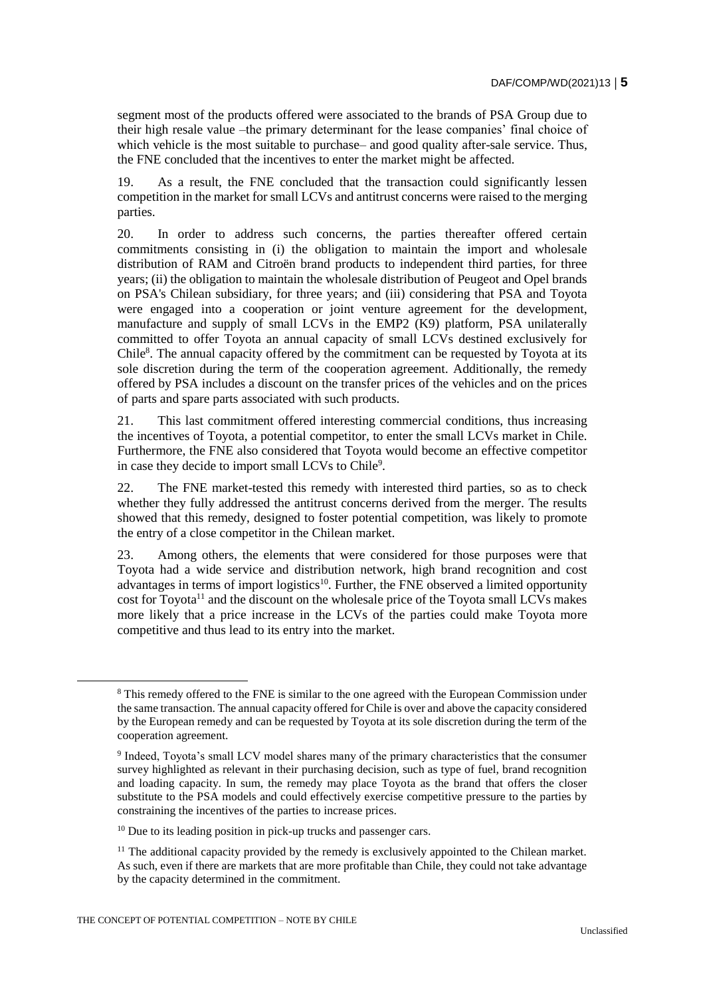segment most of the products offered were associated to the brands of PSA Group due to their high resale value –the primary determinant for the lease companies' final choice of which vehicle is the most suitable to purchase– and good quality after-sale service. Thus, the FNE concluded that the incentives to enter the market might be affected.

19. As a result, the FNE concluded that the transaction could significantly lessen competition in the market for small LCVs and antitrust concerns were raised to the merging parties.

20. In order to address such concerns, the parties thereafter offered certain commitments consisting in (i) the obligation to maintain the import and wholesale distribution of RAM and Citroën brand products to independent third parties, for three years; (ii) the obligation to maintain the wholesale distribution of Peugeot and Opel brands on PSA's Chilean subsidiary, for three years; and (iii) considering that PSA and Toyota were engaged into a cooperation or joint venture agreement for the development, manufacture and supply of small LCVs in the EMP2 (K9) platform, PSA unilaterally committed to offer Toyota an annual capacity of small LCVs destined exclusively for Chile<sup>8</sup>. The annual capacity offered by the commitment can be requested by Toyota at its sole discretion during the term of the cooperation agreement. Additionally, the remedy offered by PSA includes a discount on the transfer prices of the vehicles and on the prices of parts and spare parts associated with such products.

21. This last commitment offered interesting commercial conditions, thus increasing the incentives of Toyota, a potential competitor, to enter the small LCVs market in Chile. Furthermore, the FNE also considered that Toyota would become an effective competitor in case they decide to import small LCVs to Chile<sup>9</sup>.

22. The FNE market-tested this remedy with interested third parties, so as to check whether they fully addressed the antitrust concerns derived from the merger. The results showed that this remedy, designed to foster potential competition, was likely to promote the entry of a close competitor in the Chilean market.

23. Among others, the elements that were considered for those purposes were that Toyota had a wide service and distribution network, high brand recognition and cost advantages in terms of import logistics<sup>10</sup>. Further, the FNE observed a limited opportunity cost for Toyota<sup>11</sup> and the discount on the wholesale price of the Toyota small LCVs makes more likely that a price increase in the LCVs of the parties could make Toyota more competitive and thus lead to its entry into the market.

 $\overline{a}$ 

<sup>8</sup> This remedy offered to the FNE is similar to the one agreed with the European Commission under the same transaction. The annual capacity offered for Chile is over and above the capacity considered by the European remedy and can be requested by Toyota at its sole discretion during the term of the cooperation agreement.

<sup>&</sup>lt;sup>9</sup> Indeed, Toyota's small LCV model shares many of the primary characteristics that the consumer survey highlighted as relevant in their purchasing decision, such as type of fuel, brand recognition and loading capacity. In sum, the remedy may place Toyota as the brand that offers the closer substitute to the PSA models and could effectively exercise competitive pressure to the parties by constraining the incentives of the parties to increase prices.

<sup>&</sup>lt;sup>10</sup> Due to its leading position in pick-up trucks and passenger cars.

 $<sup>11</sup>$  The additional capacity provided by the remedy is exclusively appointed to the Chilean market.</sup> As such, even if there are markets that are more profitable than Chile, they could not take advantage by the capacity determined in the commitment.